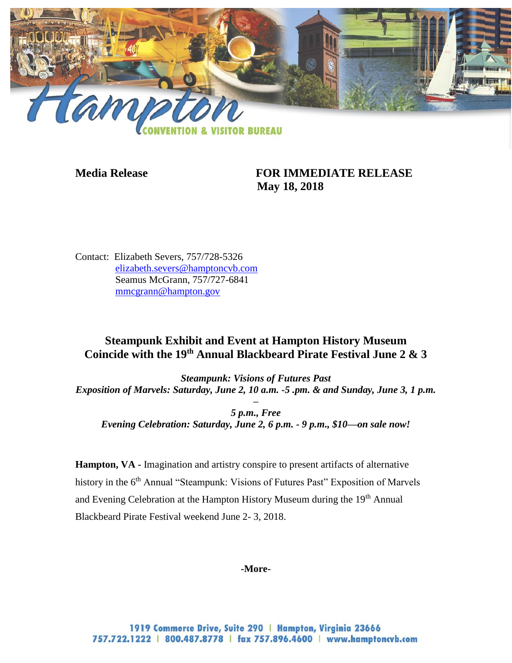

## **Media Release FOR IMMEDIATE RELEASE May 18, 2018**

Contact: Elizabeth Severs, 757/728-5326 [elizabeth.severs@hamptoncvb.com](mailto:elizabeth.severs@hamptoncvb.com) Seamus McGrann, 757/727-6841 [mmcgrann@hampton.gov](mailto:mmcgrann@hampton.gov)

# **Steampunk Exhibit and Event at Hampton History Museum Coincide with the 19th Annual Blackbeard Pirate Festival June 2 & 3**

*Steampunk: Visions of Futures Past Exposition of Marvels: Saturday, June 2, 10 a.m. -5 .pm. & and Sunday, June 3, 1 p.m.* 

*– 5 p.m., Free Evening Celebration: Saturday, June 2, 6 p.m. - 9 p.m., \$10—on sale now!*

**Hampton, VA -** Imagination and artistry conspire to present artifacts of alternative history in the 6<sup>th</sup> Annual "Steampunk: Visions of Futures Past" Exposition of Marvels and Evening Celebration at the Hampton History Museum during the 19<sup>th</sup> Annual Blackbeard Pirate Festival weekend June 2- 3, 2018.

## **-More-**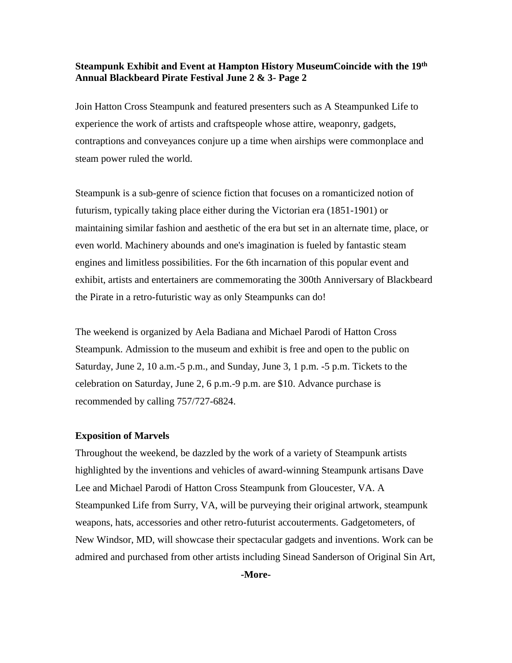### **Steampunk Exhibit and Event at Hampton History MuseumCoincide with the 19th Annual Blackbeard Pirate Festival June 2 & 3- Page 2**

Join Hatton Cross Steampunk and featured presenters such as A Steampunked Life to experience the work of artists and craftspeople whose attire, weaponry, gadgets, contraptions and conveyances conjure up a time when airships were commonplace and steam power ruled the world.

Steampunk is a sub-genre of science fiction that focuses on a romanticized notion of futurism, typically taking place either during the Victorian era (1851-1901) or maintaining similar fashion and aesthetic of the era but set in an alternate time, place, or even world. Machinery abounds and one's imagination is fueled by fantastic steam engines and limitless possibilities. For the 6th incarnation of this popular event and exhibit, artists and entertainers are commemorating the 300th Anniversary of Blackbeard the Pirate in a retro-futuristic way as only Steampunks can do!

The weekend is organized by Aela Badiana and Michael Parodi of Hatton Cross Steampunk. Admission to the museum and exhibit is free and open to the public on Saturday, June 2, 10 a.m.-5 p.m., and Sunday, June 3, 1 p.m. -5 p.m. Tickets to the celebration on Saturday, June 2, 6 p.m.-9 p.m. are \$10. Advance purchase is recommended by calling 757/727-6824.

#### **Exposition of Marvels**

Throughout the weekend, be dazzled by the work of a variety of Steampunk artists highlighted by the inventions and vehicles of award-winning Steampunk artisans Dave Lee and Michael Parodi of Hatton Cross Steampunk from Gloucester, VA. A Steampunked Life from Surry, VA, will be purveying their original artwork, steampunk weapons, hats, accessories and other retro-futurist accouterments. Gadgetometers, of New Windsor, MD, will showcase their spectacular gadgets and inventions. Work can be admired and purchased from other artists including Sinead Sanderson of Original Sin Art,

**-More-**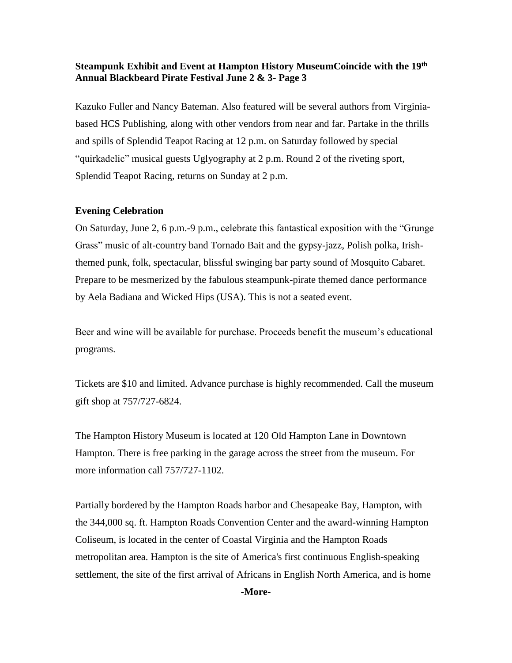## **Steampunk Exhibit and Event at Hampton History MuseumCoincide with the 19th Annual Blackbeard Pirate Festival June 2 & 3- Page 3**

Kazuko Fuller and Nancy Bateman. Also featured will be several authors from Virginiabased HCS Publishing, along with other vendors from near and far. Partake in the thrills and spills of Splendid Teapot Racing at 12 p.m. on Saturday followed by special "quirkadelic" musical guests Uglyography at 2 p.m. Round 2 of the riveting sport, Splendid Teapot Racing, returns on Sunday at 2 p.m.

## **Evening Celebration**

On Saturday, June 2, 6 p.m.-9 p.m., celebrate this fantastical exposition with the "Grunge Grass" music of alt-country band Tornado Bait and the gypsy-jazz, Polish polka, Irishthemed punk, folk, spectacular, blissful swinging bar party sound of Mosquito Cabaret. Prepare to be mesmerized by the fabulous steampunk-pirate themed dance performance by Aela Badiana and Wicked Hips (USA). This is not a seated event.

Beer and wine will be available for purchase. Proceeds benefit the museum's educational programs.

Tickets are \$10 and limited. Advance purchase is highly recommended. Call the museum gift shop at 757/727-6824.

The Hampton History Museum is located at 120 Old Hampton Lane in Downtown Hampton. There is free parking in the garage across the street from the museum. For more information call 757/727-1102.

Partially bordered by the Hampton Roads harbor and Chesapeake Bay, Hampton, with the 344,000 sq. ft. Hampton Roads Convention Center and the award-winning Hampton Coliseum, is located in the center of Coastal Virginia and the Hampton Roads metropolitan area. Hampton is the site of America's first continuous English-speaking settlement, the site of the first arrival of Africans in English North America, and is home

**-More-**